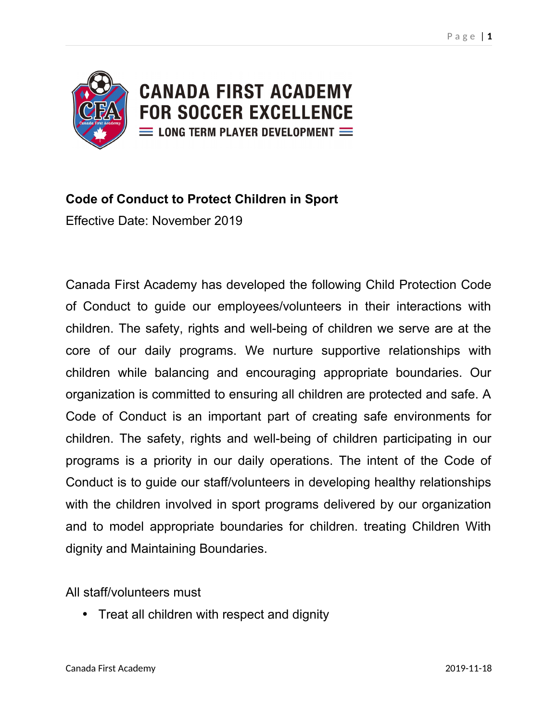

# **Code of Conduct to Protect Children in Sport**

Effective Date: November 2019

Canada First Academy has developed the following Child Protection Code of Conduct to guide our employees/volunteers in their interactions with children. The safety, rights and well-being of children we serve are at the core of our daily programs. We nurture supportive relationships with children while balancing and encouraging appropriate boundaries. Our organization is committed to ensuring all children are protected and safe. A Code of Conduct is an important part of creating safe environments for children. The safety, rights and well-being of children participating in our programs is a priority in our daily operations. The intent of the Code of Conduct is to guide our staff/volunteers in developing healthy relationships with the children involved in sport programs delivered by our organization and to model appropriate boundaries for children. treating Children With dignity and Maintaining Boundaries.

### All staff/volunteers must

• Treat all children with respect and dignity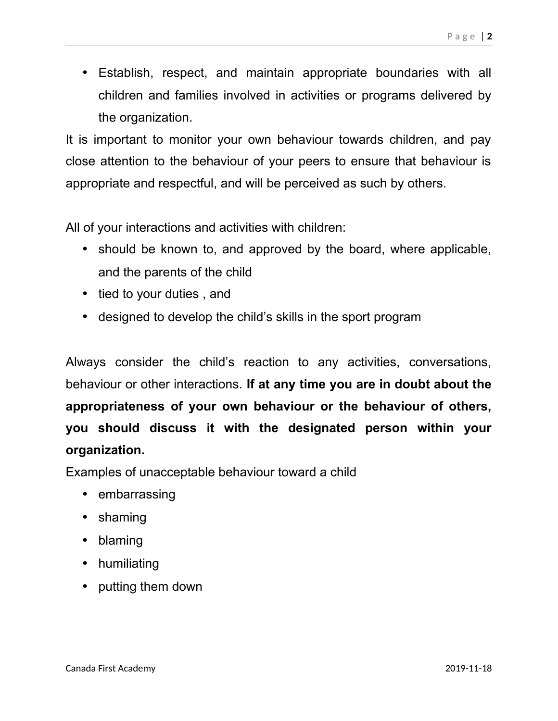Establish, respect, and maintain appropriate boundaries with all children and families involved in activities or programs delivered by the organization.

It is important to monitor your own behaviour towards children, and pay close attention to the behaviour of your peers to ensure that behaviour is appropriate and respectful, and will be perceived as such by others.

All of your interactions and activities with children:

- should be known to, and approved by the board, where applicable, and the parents of the child
- tied to your duties, and
- designed to develop the child's skills in the sport program

Always consider the child's reaction to any activities, conversations, behaviour or other interactions. **If at any time you are in doubt about the appropriateness of your own behaviour or the behaviour of others, you should discuss it with the designated person within your organization.**

Examples of unacceptable behaviour toward a child

- embarrassing
- shaming
- blaming
- humiliating
- putting them down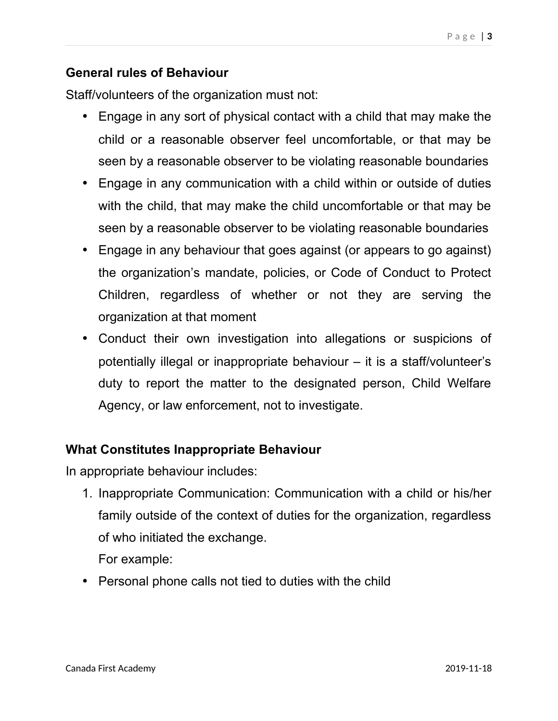## **General rules of Behaviour**

Staff/volunteers of the organization must not:

- Engage in any sort of physical contact with a child that may make the child or a reasonable observer feel uncomfortable, or that may be seen by a reasonable observer to be violating reasonable boundaries
- Engage in any communication with a child within or outside of duties with the child, that may make the child uncomfortable or that may be seen by a reasonable observer to be violating reasonable boundaries
- Engage in any behaviour that goes against (or appears to go against) the organization's mandate, policies, or Code of Conduct to Protect Children, regardless of whether or not they are serving the organization at that moment
- Conduct their own investigation into allegations or suspicions of potentially illegal or inappropriate behaviour – it is a staff/volunteer's duty to report the matter to the designated person, Child Welfare Agency, or law enforcement, not to investigate.

## **What Constitutes Inappropriate Behaviour**

In appropriate behaviour includes:

1. Inappropriate Communication: Communication with a child or his/her family outside of the context of duties for the organization, regardless of who initiated the exchange.

For example:

• Personal phone calls not tied to duties with the child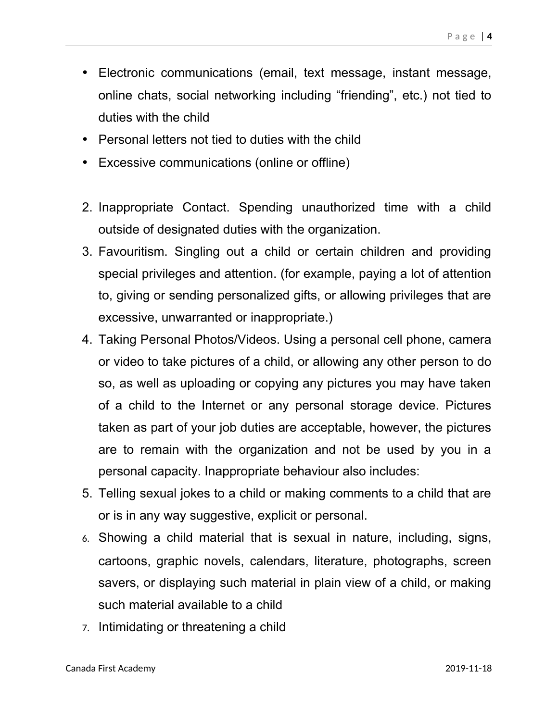- Electronic communications (email, text message, instant message, online chats, social networking including "friending", etc.) not tied to duties with the child
- Personal letters not tied to duties with the child
- Excessive communications (online or offline)
- 2. Inappropriate Contact. Spending unauthorized time with a child outside of designated duties with the organization.
- 3. Favouritism. Singling out a child or certain children and providing special privileges and attention. (for example, paying a lot of attention to, giving or sending personalized gifts, or allowing privileges that are excessive, unwarranted or inappropriate.)
- 4. Taking Personal Photos/Videos. Using a personal cell phone, camera or video to take pictures of a child, or allowing any other person to do so, as well as uploading or copying any pictures you may have taken of a child to the Internet or any personal storage device. Pictures taken as part of your job duties are acceptable, however, the pictures are to remain with the organization and not be used by you in a personal capacity. Inappropriate behaviour also includes:
- 5. Telling sexual jokes to a child or making comments to a child that are or is in any way suggestive, explicit or personal.
- 6. Showing a child material that is sexual in nature, including, signs, cartoons, graphic novels, calendars, literature, photographs, screen savers, or displaying such material in plain view of a child, or making such material available to a child
- 7. Intimidating or threatening a child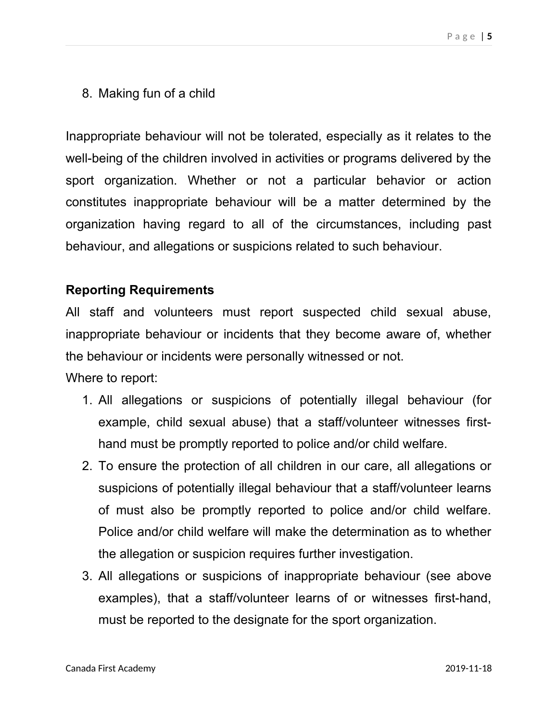8. Making fun of a child

Inappropriate behaviour will not be tolerated, especially as it relates to the well-being of the children involved in activities or programs delivered by the sport organization. Whether or not a particular behavior or action constitutes inappropriate behaviour will be a matter determined by the organization having regard to all of the circumstances, including past behaviour, and allegations or suspicions related to such behaviour.

## **Reporting Requirements**

All staff and volunteers must report suspected child sexual abuse, inappropriate behaviour or incidents that they become aware of, whether the behaviour or incidents were personally witnessed or not.

Where to report:

- 1. All allegations or suspicions of potentially illegal behaviour (for example, child sexual abuse) that a staff/volunteer witnesses firsthand must be promptly reported to police and/or child welfare.
- 2. To ensure the protection of all children in our care, all allegations or suspicions of potentially illegal behaviour that a staff/volunteer learns of must also be promptly reported to police and/or child welfare. Police and/or child welfare will make the determination as to whether the allegation or suspicion requires further investigation.
- 3. All allegations or suspicions of inappropriate behaviour (see above examples), that a staff/volunteer learns of or witnesses first-hand, must be reported to the designate for the sport organization.